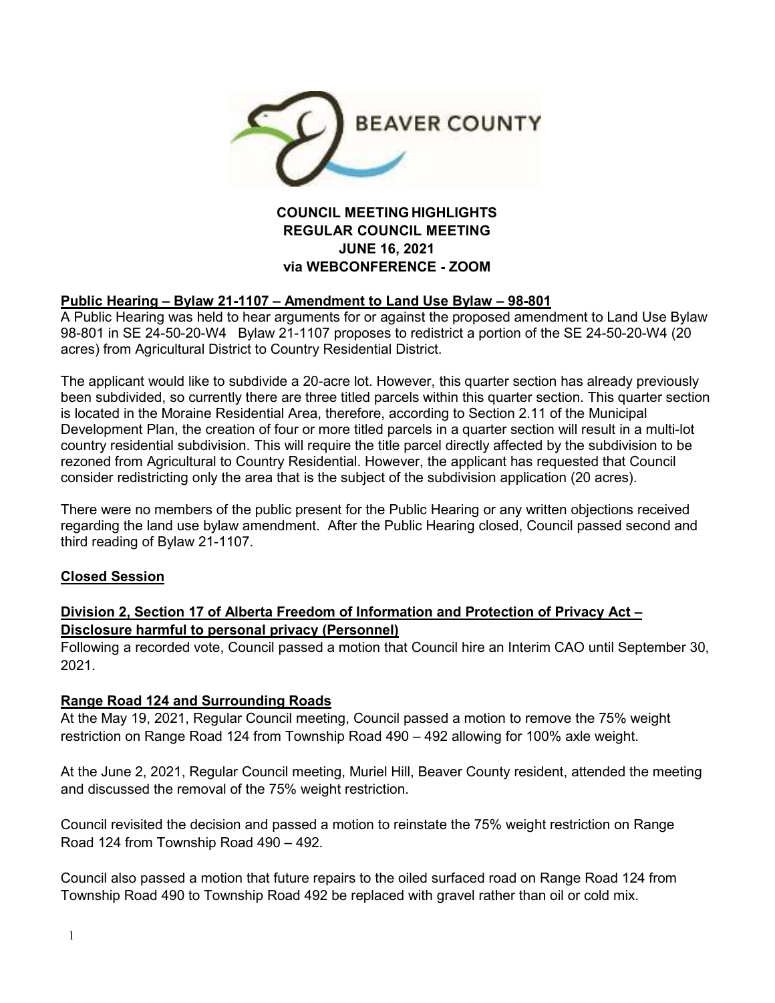

## **COUNCIL MEETING HIGHLIGHTS REGULAR COUNCIL MEETING JUNE 16, 2021 via WEBCONFERENCE - ZOOM**

### **Public Hearing – Bylaw 21-1107 – Amendment to Land Use Bylaw – 98-801**

A Public Hearing was held to hear arguments for or against the proposed amendment to Land Use Bylaw 98-801 in SE 24-50-20-W4 Bylaw 21-1107 proposes to redistrict a portion of the SE 24-50-20-W4 (20 acres) from Agricultural District to Country Residential District.

The applicant would like to subdivide a 20-acre lot. However, this quarter section has already previously been subdivided, so currently there are three titled parcels within this quarter section. This quarter section is located in the Moraine Residential Area, therefore, according to Section 2.11 of the Municipal Development Plan, the creation of four or more titled parcels in a quarter section will result in a multi-lot country residential subdivision. This will require the title parcel directly affected by the subdivision to be rezoned from Agricultural to Country Residential. However, the applicant has requested that Council consider redistricting only the area that is the subject of the subdivision application (20 acres).

There were no members of the public present for the Public Hearing or any written objections received regarding the land use bylaw amendment. After the Public Hearing closed, Council passed second and third reading of Bylaw 21-1107.

#### **Closed Session**

# **Division 2, Section 17 of Alberta Freedom of Information and Protection of Privacy Act – Disclosure harmful to personal privacy (Personnel)**

Following a recorded vote, Council passed a motion that Council hire an Interim CAO until September 30, 2021.

#### **Range Road 124 and Surrounding Roads**

At the May 19, 2021, Regular Council meeting, Council passed a motion to remove the 75% weight restriction on Range Road 124 from Township Road 490 – 492 allowing for 100% axle weight.

At the June 2, 2021, Regular Council meeting, Muriel Hill, Beaver County resident, attended the meeting and discussed the removal of the 75% weight restriction.

Council revisited the decision and passed a motion to reinstate the 75% weight restriction on Range Road 124 from Township Road 490 – 492.

Council also passed a motion that future repairs to the oiled surfaced road on Range Road 124 from Township Road 490 to Township Road 492 be replaced with gravel rather than oil or cold mix.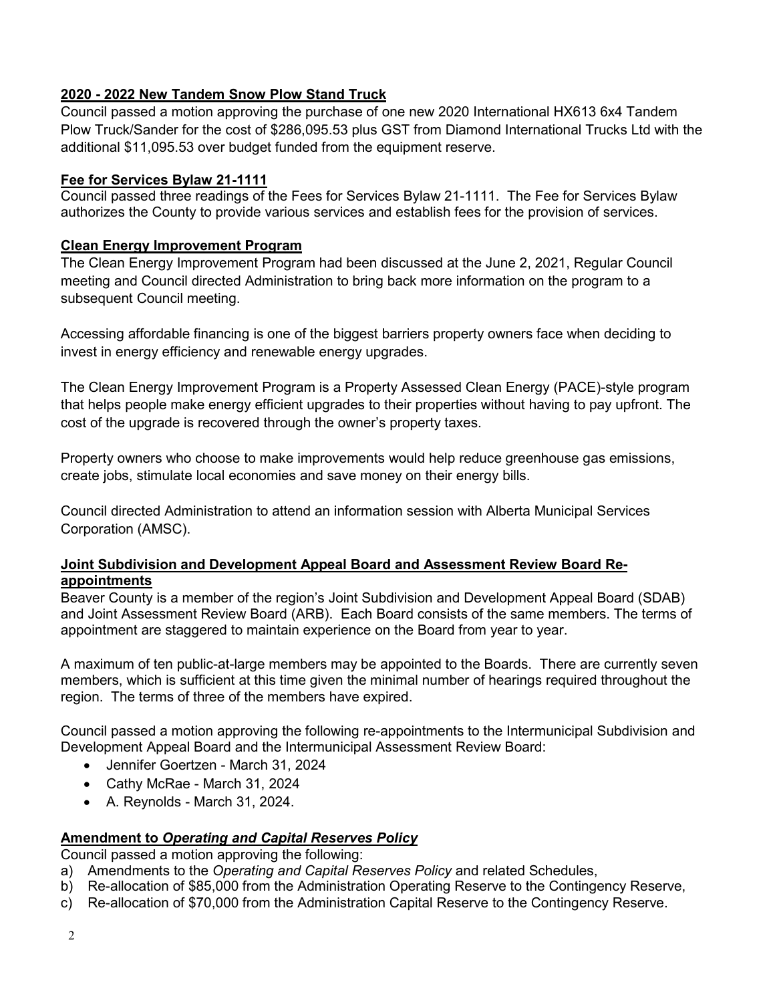# **2020 - 2022 New Tandem Snow Plow Stand Truck**

Council passed a motion approving the purchase of one new 2020 International HX613 6x4 Tandem Plow Truck/Sander for the cost of \$286,095.53 plus GST from Diamond International Trucks Ltd with the additional \$11,095.53 over budget funded from the equipment reserve.

#### **Fee for Services Bylaw 21-1111**

Council passed three readings of the Fees for Services Bylaw 21-1111. The Fee for Services Bylaw authorizes the County to provide various services and establish fees for the provision of services.

#### **Clean Energy Improvement Program**

The Clean Energy Improvement Program had been discussed at the June 2, 2021, Regular Council meeting and Council directed Administration to bring back more information on the program to a subsequent Council meeting.

Accessing affordable financing is one of the biggest barriers property owners face when deciding to invest in energy efficiency and renewable energy upgrades.

The Clean Energy Improvement Program is a Property Assessed Clean Energy (PACE)-style program that helps people make energy efficient upgrades to their properties without having to pay upfront. The cost of the upgrade is recovered through the owner's property taxes.

Property owners who choose to make improvements would help reduce greenhouse gas emissions, create jobs, stimulate local economies and save money on their energy bills.

Council directed Administration to attend an information session with Alberta Municipal Services Corporation (AMSC).

#### **Joint Subdivision and Development Appeal Board and Assessment Review Board Reappointments**

Beaver County is a member of the region's Joint Subdivision and Development Appeal Board (SDAB) and Joint Assessment Review Board (ARB). Each Board consists of the same members. The terms of appointment are staggered to maintain experience on the Board from year to year.

A maximum of ten public-at-large members may be appointed to the Boards. There are currently seven members, which is sufficient at this time given the minimal number of hearings required throughout the region. The terms of three of the members have expired.

Council passed a motion approving the following re-appointments to the Intermunicipal Subdivision and Development Appeal Board and the Intermunicipal Assessment Review Board:

- Jennifer Goertzen March 31, 2024
- Cathy McRae March 31, 2024
- A. Reynolds March 31, 2024.

#### **Amendment to** *Operating and Capital Reserves Policy*

Council passed a motion approving the following:

- a) Amendments to the *Operating and Capital Reserves Policy* and related Schedules,
- b) Re-allocation of \$85,000 from the Administration Operating Reserve to the Contingency Reserve,
- c) Re-allocation of \$70,000 from the Administration Capital Reserve to the Contingency Reserve.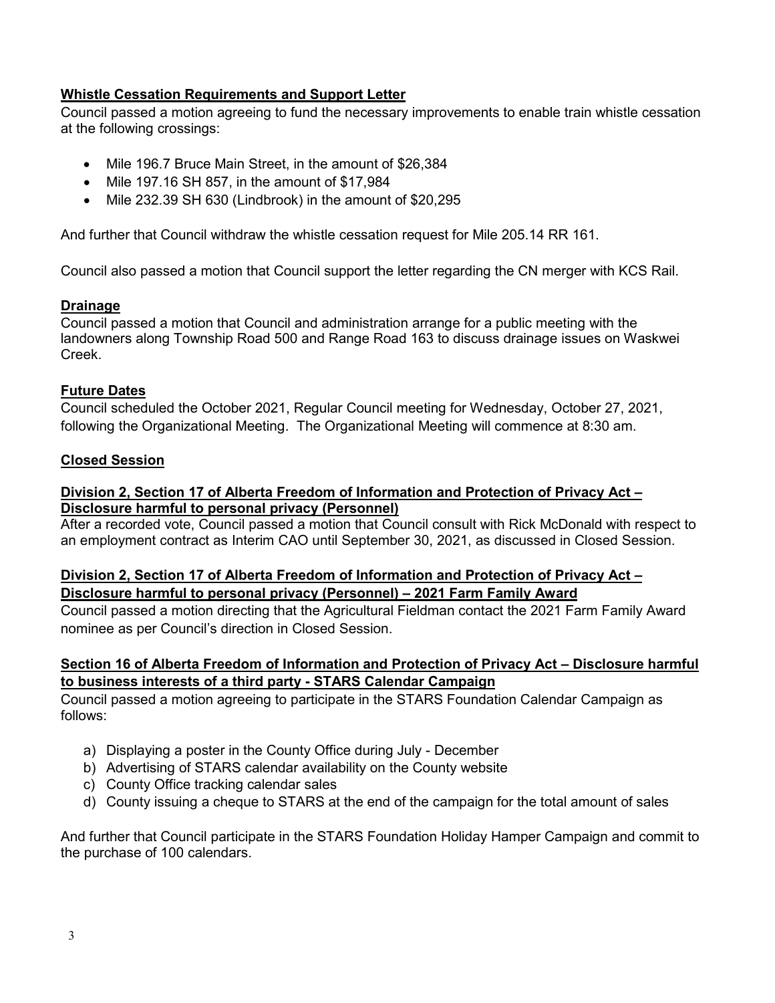# **Whistle Cessation Requirements and Support Letter**

Council passed a motion agreeing to fund the necessary improvements to enable train whistle cessation at the following crossings:

- Mile 196.7 Bruce Main Street, in the amount of \$26,384
- $\bullet$  Mile 197.16 SH 857, in the amount of \$17,984
- Mile 232.39 SH 630 (Lindbrook) in the amount of \$20,295

And further that Council withdraw the whistle cessation request for Mile 205.14 RR 161.

Council also passed a motion that Council support the letter regarding the CN merger with KCS Rail.

# **Drainage**

Council passed a motion that Council and administration arrange for a public meeting with the landowners along Township Road 500 and Range Road 163 to discuss drainage issues on Waskwei Creek.

# **Future Dates**

Council scheduled the October 2021, Regular Council meeting for Wednesday, October 27, 2021, following the Organizational Meeting. The Organizational Meeting will commence at 8:30 am.

# **Closed Session**

### **Division 2, Section 17 of Alberta Freedom of Information and Protection of Privacy Act – Disclosure harmful to personal privacy (Personnel)**

After a recorded vote, Council passed a motion that Council consult with Rick McDonald with respect to an employment contract as Interim CAO until September 30, 2021, as discussed in Closed Session.

# **Division 2, Section 17 of Alberta Freedom of Information and Protection of Privacy Act – Disclosure harmful to personal privacy (Personnel) – 2021 Farm Family Award**

Council passed a motion directing that the Agricultural Fieldman contact the 2021 Farm Family Award nominee as per Council's direction in Closed Session.

# **Section 16 of Alberta Freedom of Information and Protection of Privacy Act – Disclosure harmful to business interests of a third party - STARS Calendar Campaign**

Council passed a motion agreeing to participate in the STARS Foundation Calendar Campaign as follows:

- a) Displaying a poster in the County Office during July December
- b) Advertising of STARS calendar availability on the County website
- c) County Office tracking calendar sales
- d) County issuing a cheque to STARS at the end of the campaign for the total amount of sales

And further that Council participate in the STARS Foundation Holiday Hamper Campaign and commit to the purchase of 100 calendars.